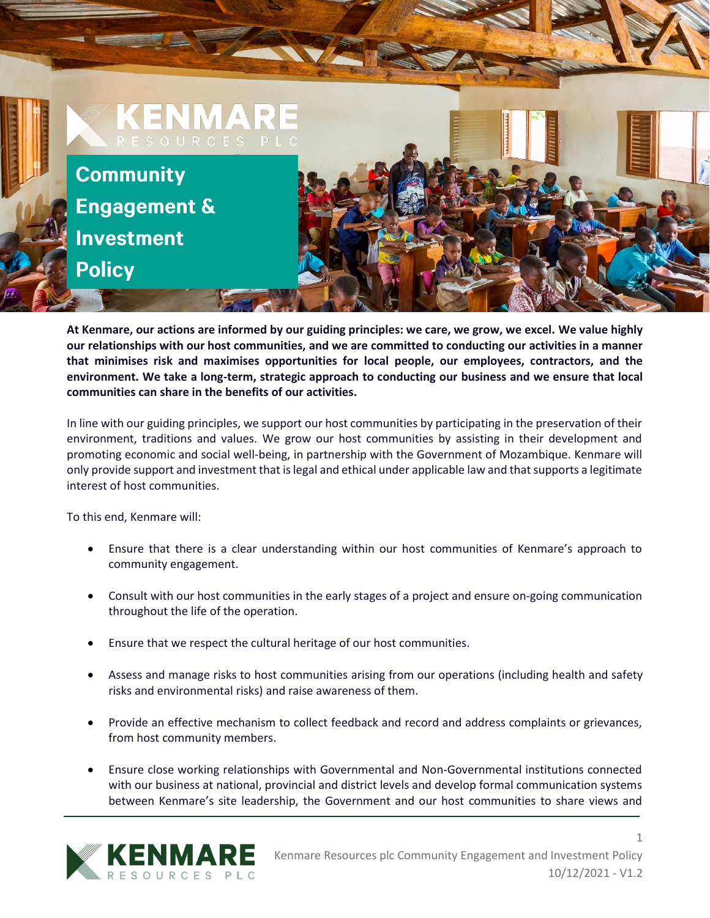

**At Kenmare, our actions are informed by our guiding principles: we care, we grow, we excel. We value highly our relationships with our host communities, and we are committed to conducting our activities in a manner that minimises risk and maximises opportunities for local people, our employees, contractors, and the environment. We take a long-term, strategic approach to conducting our business and we ensure that local communities can share in the benefits of our activities.**

In line with our guiding principles, we support our host communities by participating in the preservation of their environment, traditions and values. We grow our host communities by assisting in their development and promoting economic and social well-being, in partnership with the Government of Mozambique. Kenmare will only provide support and investment that is legal and ethical under applicable law and that supports a legitimate interest of host communities.

To this end, Kenmare will:

- Ensure that there is a clear understanding within our host communities of Kenmare's approach to community engagement.
- Consult with our host communities in the early stages of a project and ensure on-going communication throughout the life of the operation.
- Ensure that we respect the cultural heritage of our host communities.
- Assess and manage risks to host communities arising from our operations (including health and safety risks and environmental risks) and raise awareness of them.
- Provide an effective mechanism to collect feedback and record and address complaints or grievances, from host community members.
- Ensure close working relationships with Governmental and Non-Governmental institutions connected with our business at national, provincial and district levels and develop formal communication systems between Kenmare's site leadership, the Government and our host communities to share views and

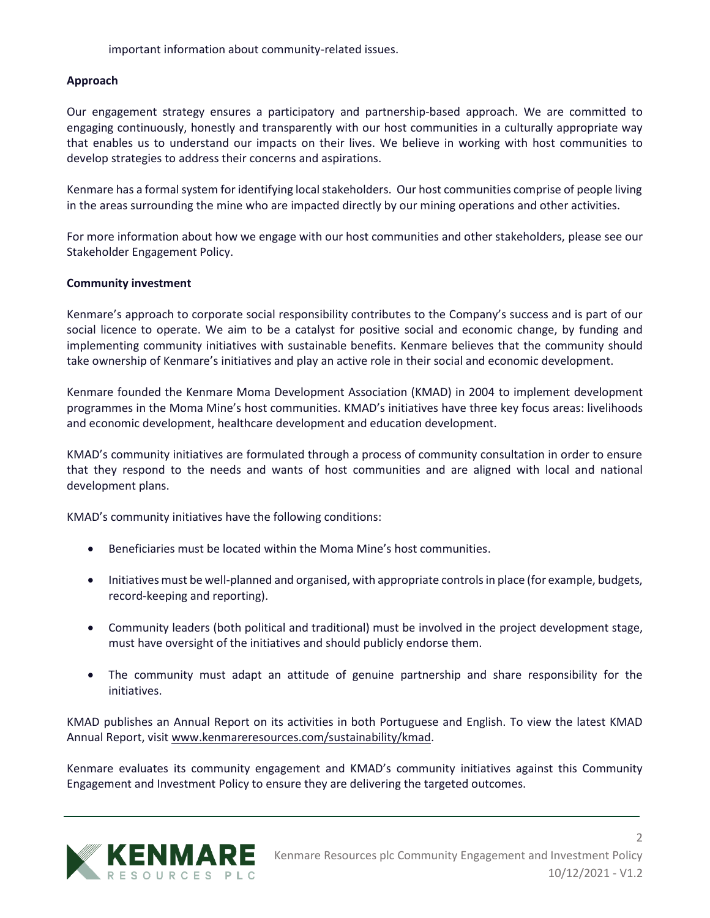important information about community-related issues.

### **Approach**

Our engagement strategy ensures a participatory and partnership-based approach. We are committed to engaging continuously, honestly and transparently with our host communities in a culturally appropriate way that enables us to understand our impacts on their lives. We believe in working with host communities to develop strategies to address their concerns and aspirations.

Kenmare has a formal system for identifying local stakeholders. Our host communities comprise of people living in the areas surrounding the mine who are impacted directly by our mining operations and other activities.

For more information about how we engage with our host communities and other stakeholders, please see our Stakeholder Engagement Policy.

### **Community investment**

Kenmare's approach to corporate social responsibility contributes to the Company's success and is part of our social licence to operate. We aim to be a catalyst for positive social and economic change, by funding and implementing community initiatives with sustainable benefits. Kenmare believes that the community should take ownership of Kenmare's initiatives and play an active role in their social and economic development.

Kenmare founded the Kenmare Moma Development Association (KMAD) in 2004 to implement development programmes in the Moma Mine's host communities. KMAD's initiatives have three key focus areas: livelihoods and economic development, healthcare development and education development.

KMAD's community initiatives are formulated through a process of community consultation in order to ensure that they respond to the needs and wants of host communities and are aligned with local and national development plans.

KMAD's community initiatives have the following conditions:

- Beneficiaries must be located within the Moma Mine's host communities.
- Initiatives must be well-planned and organised, with appropriate controls in place (for example, budgets, record-keeping and reporting).
- Community leaders (both political and traditional) must be involved in the project development stage, must have oversight of the initiatives and should publicly endorse them.
- The community must adapt an attitude of genuine partnership and share responsibility for the initiatives.

KMAD publishes an Annual Report on its activities in both Portuguese and English. To view the latest KMAD Annual Report, visit [www.kenmareresources.com/sustainability/kmad.](http://www.kenmareresources.com/sustainability/kmad)

Kenmare evaluates its community engagement and KMAD's community initiatives against this Community Engagement and Investment Policy to ensure they are delivering the targeted outcomes.

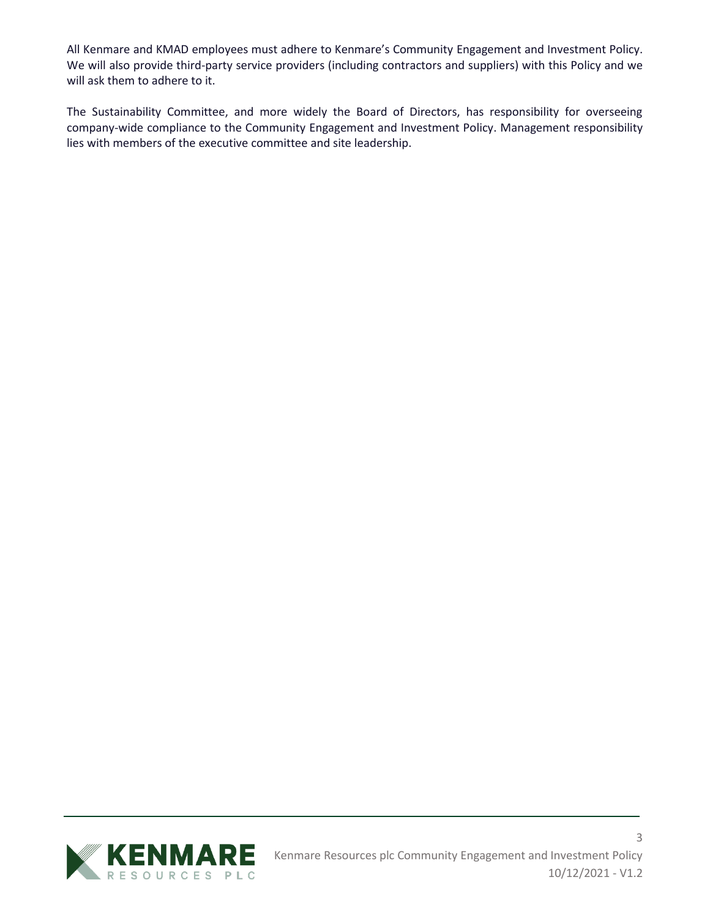All Kenmare and KMAD employees must adhere to Kenmare's Community Engagement and Investment Policy. We will also provide third-party service providers (including contractors and suppliers) with this Policy and we will ask them to adhere to it.

The Sustainability Committee, and more widely the Board of Directors, has responsibility for overseeing company-wide compliance to the Community Engagement and Investment Policy. Management responsibility lies with members of the executive committee and site leadership.

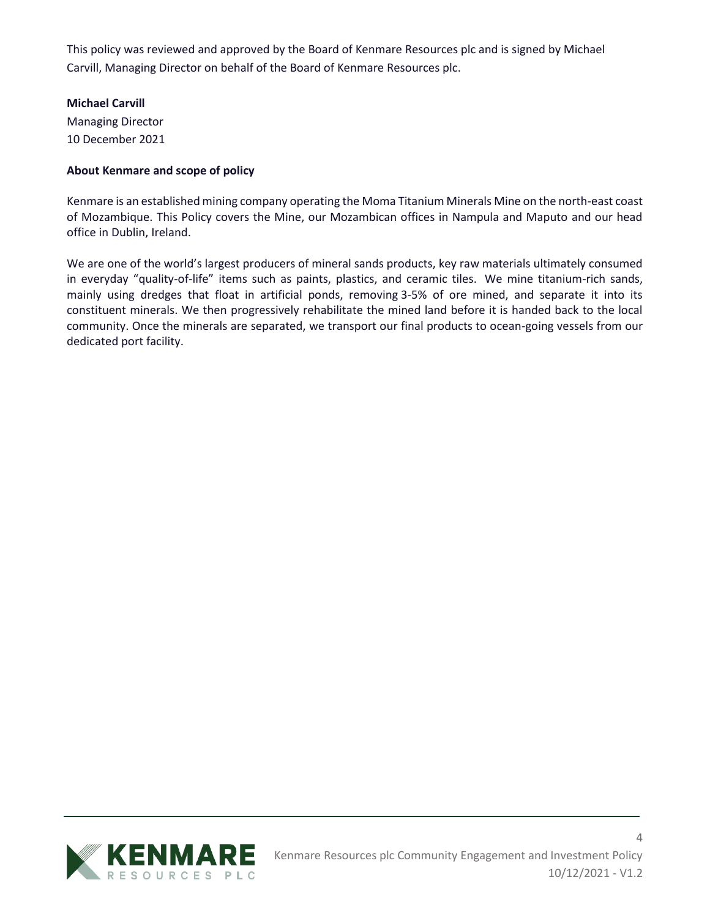This policy was reviewed and approved by the Board of Kenmare Resources plc and is signed by Michael Carvill, Managing Director on behalf of the Board of Kenmare Resources plc.

# **Michael Carvill**

Managing Director 10 December 2021

# **About Kenmare and scope of policy**

Kenmare is an established mining company operating the Moma Titanium Minerals Mine on the north-east coast of Mozambique. This Policy covers the Mine, our Mozambican offices in Nampula and Maputo and our head office in Dublin, Ireland.

We are one of the world's largest producers of mineral sands products, key raw materials ultimately consumed in everyday "quality-of-life" items such as paints, plastics, and ceramic tiles. We mine titanium-rich sands, mainly using dredges that float in artificial ponds, removing 3-5% of ore mined, and separate it into its constituent minerals. We then progressively rehabilitate the mined land before it is handed back to the local community. Once the minerals are separated, we transport our final products to ocean-going vessels from our dedicated port facility.